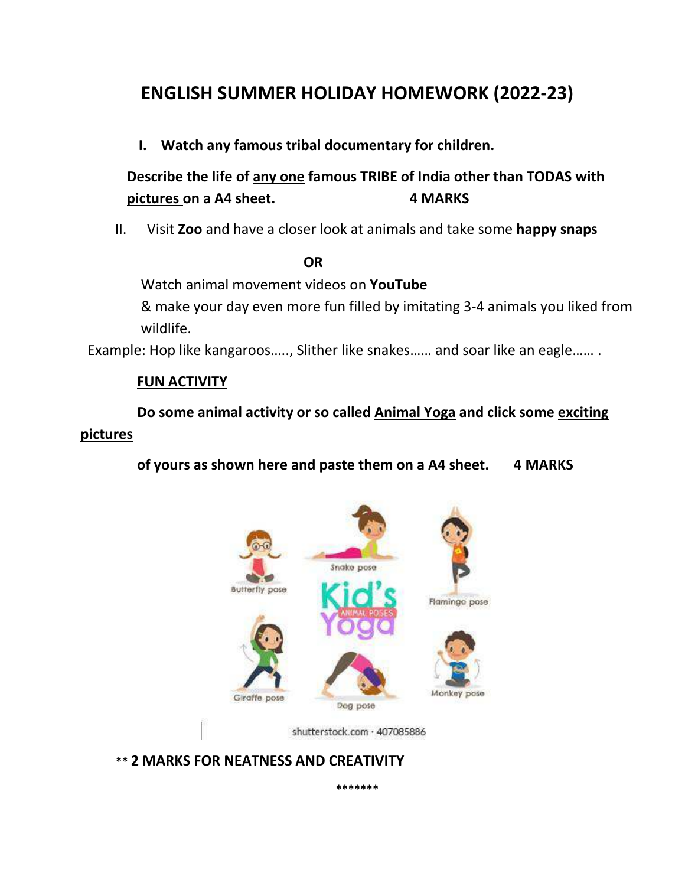# **ENGLISH SUMMER HOLIDAY HOMEWORK (2022-23)**

**I. Watch any famous tribal documentary for children.** 

**Describe the life of any one famous TRIBE of India other than TODAS with pictures on a A4 sheet. 4 MARKS**

II. Visit **Zoo** and have a closer look at animals and take some **happy snaps**

### *OR* OR

Watch animal movement videos on **YouTube**

& make your day even more fun filled by imitating 3-4 animals you liked from wildlife.

Example: Hop like kangaroos….., Slither like snakes…… and soar like an eagle…… .

### **FUN ACTIVITY**

 **Do some animal activity or so called Animal Yoga and click some exciting pictures**

 **of yours as shown here and paste them on a A4 sheet. 4 MARKS**



**\*\*\*\*\*\*\***

 **\*\* 2 MARKS FOR NEATNESS AND CREATIVITY**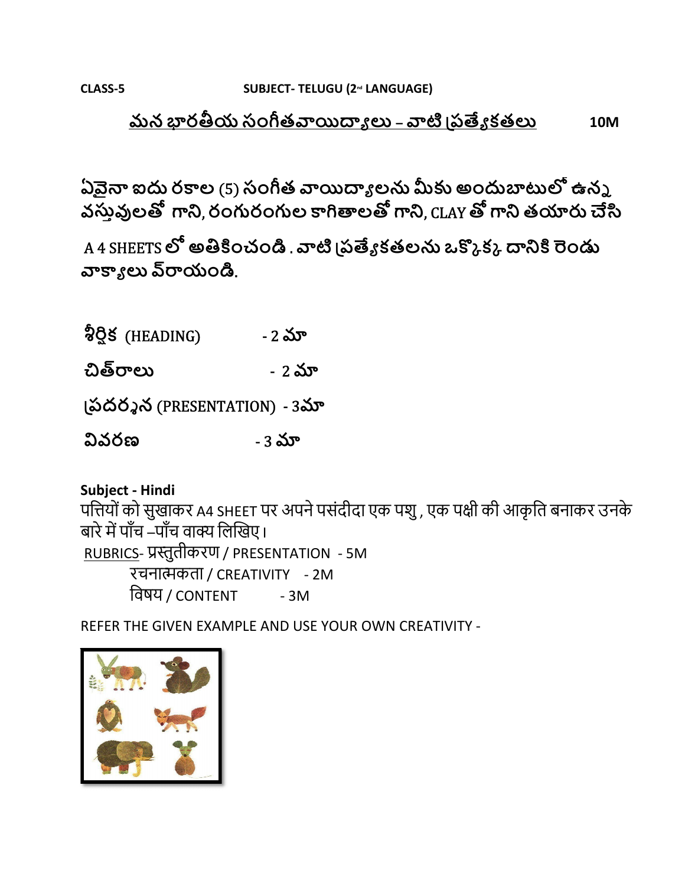CLASS-5

### <u> మన భారతీయ సంగీతవాయిద్యాలు – వాటి వ్రత్యేకతలు</u> **10M**

ఏవైనా ఐదు రకాల (5) సంగీత వాయిద్యాలను మీకు అందుబాటులో ఉన్న వస్తువులతో గాని, రంగురంగుల కాగితాలతో గాని, CLAY తో గాని తయారు చేసి

A 4 SHEETS లో అతికించండి . వాటి (పత్యేకతలను ఒక్కొక్క దానికి రెండు వాక్యాలు వ్**రాయండి**.

ခ်ဗ္ဗိန္လ (HEADING) - 2 మా

చిత్రరాలు - 2 మా

(పదర్శన (PRESENTATION) - 3మా

వివరణ - 3 మా

Subject - Hindi

पत्तियों को सुखाकर A4 SHEET पर अपने पसंदीदा एक पशु , एक पक्षी की आकृति बनाकर उनके बारे में पाँच –पाँच वाक्य लिखिए। RUBRICS- प्रस्तुतीकरण / PRESENTATION - 5M रचनात्मकता / CREATIVITY - 2M

विषय / content  $-3M$ 

REFER THE GIVEN EXAMPLE AND USE YOUR OWN CREATIVITY -

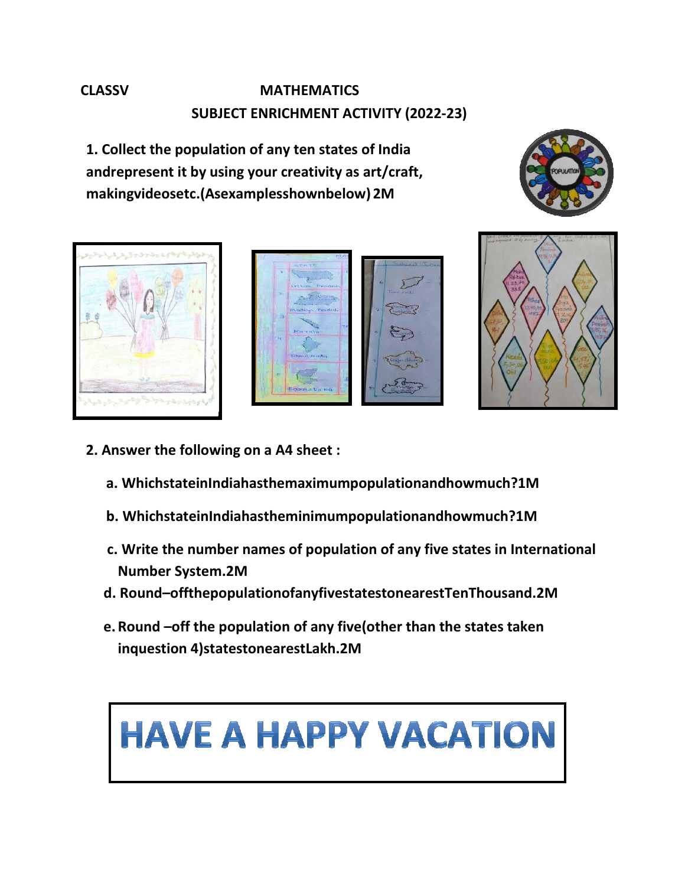# **CLASSV MATHEMATICS SUBJECT ENRICHMENT ACTIVITY (2022-23)**

**1. Collect the population of any ten states of India andrepresent it by using your creativity as art/craft, makingvideosetc.(Asexamplesshownbelow) 2M** 









- **2. Answer the following on a A4 sheet :** 
	- **a. WhichstateinIndiahasthemaximumpopulationandhowmuch?1M**
	- **b. WhichstateinIndiahastheminimumpopulationandhowmuch?1M**
	- **c. Write the number names of population of any five states in International Number System.2M**
	- **d. Round–offthepopulationofanyfivestatestonearestTenThousand.2M**
	- **e.Round –off the population of any five(other than the states taken inquestion 4)statestonearestLakh.2M**